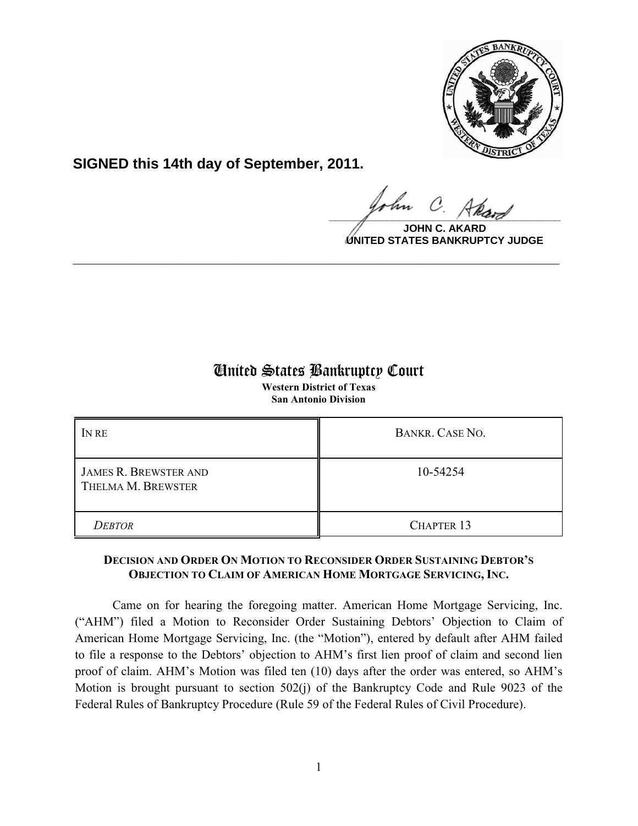

**SIGNED this 14th day of September, 2011.**

 $\Omega$  $\frac{1}{\sqrt{1-\frac{1}{2}}\sqrt{1-\frac{1}{2}}\sqrt{1-\frac{1}{2}}\sqrt{1-\frac{1}{2}}\sqrt{1-\frac{1}{2}}\sqrt{1-\frac{1}{2}}\sqrt{1-\frac{1}{2}}\sqrt{1-\frac{1}{2}}\sqrt{1-\frac{1}{2}}\sqrt{1-\frac{1}{2}}\sqrt{1-\frac{1}{2}}\sqrt{1-\frac{1}{2}}\sqrt{1-\frac{1}{2}}\sqrt{1-\frac{1}{2}}\sqrt{1-\frac{1}{2}}\sqrt{1-\frac{1}{2}}\sqrt{1-\frac{1}{2}}\sqrt{1-\frac{1}{2}}\sqrt{1-\frac{1}{2}}\sqrt{1-\frac$ 

**JOHN C. AKARD UNITED STATES BANKRUPTCY JUDGE**

## United States Bankruptcy Court

**\_\_\_\_\_\_\_\_\_\_\_\_\_\_\_\_\_\_\_\_\_\_\_\_\_\_\_\_\_\_\_\_\_\_\_\_\_\_\_\_\_\_\_\_\_\_\_\_\_\_\_\_\_\_\_\_\_\_\_\_**

**Western District of Texas San Antonio Division**

| IN RE                                              | BANKR. CASE NO.   |
|----------------------------------------------------|-------------------|
| <b>JAMES R. BREWSTER AND</b><br>THELMA M. BREWSTER | 10-54254          |
| <b>DEBTOR</b>                                      | <b>CHAPTER 13</b> |

## **DECISION AND ORDER ON MOTION TO RECONSIDER ORDER SUSTAINING DEBTOR'S OBJECTION TO CLAIM OF AMERICAN HOME MORTGAGE SERVICING, INC.**

Came on for hearing the foregoing matter. American Home Mortgage Servicing, Inc. ("AHM") filed a Motion to Reconsider Order Sustaining Debtors' Objection to Claim of American Home Mortgage Servicing, Inc. (the "Motion"), entered by default after AHM failed to file a response to the Debtors' objection to AHM's first lien proof of claim and second lien proof of claim. AHM's Motion was filed ten (10) days after the order was entered, so AHM's Motion is brought pursuant to section 502(j) of the Bankruptcy Code and Rule 9023 of the Federal Rules of Bankruptcy Procedure (Rule 59 of the Federal Rules of Civil Procedure).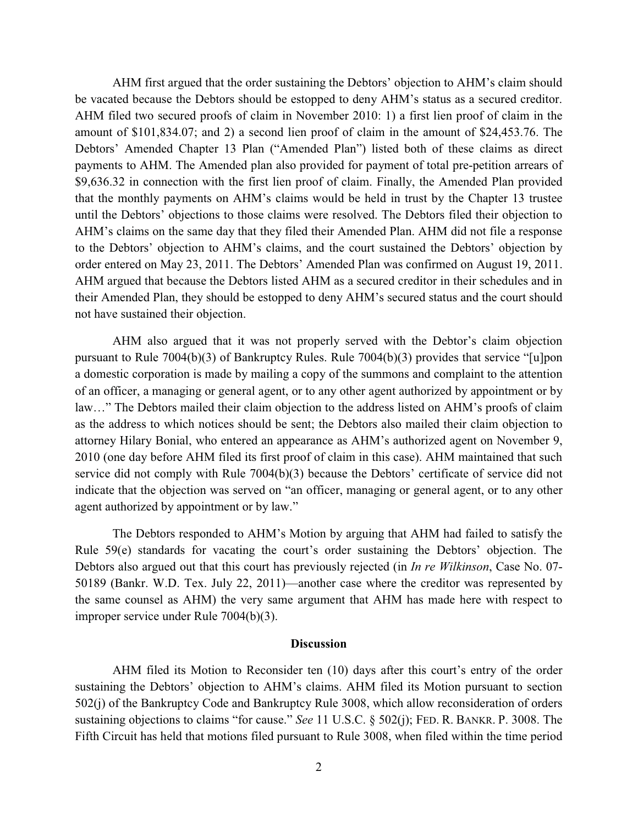AHM first argued that the order sustaining the Debtors' objection to AHM's claim should be vacated because the Debtors should be estopped to deny AHM's status as a secured creditor. AHM filed two secured proofs of claim in November 2010: 1) a first lien proof of claim in the amount of \$101,834.07; and 2) a second lien proof of claim in the amount of \$24,453.76. The Debtors' Amended Chapter 13 Plan ("Amended Plan") listed both of these claims as direct payments to AHM. The Amended plan also provided for payment of total pre-petition arrears of \$9,636.32 in connection with the first lien proof of claim. Finally, the Amended Plan provided that the monthly payments on AHM's claims would be held in trust by the Chapter 13 trustee until the Debtors' objections to those claims were resolved. The Debtors filed their objection to AHM's claims on the same day that they filed their Amended Plan. AHM did not file a response to the Debtors' objection to AHM's claims, and the court sustained the Debtors' objection by order entered on May 23, 2011. The Debtors' Amended Plan was confirmed on August 19, 2011. AHM argued that because the Debtors listed AHM as a secured creditor in their schedules and in their Amended Plan, they should be estopped to deny AHM's secured status and the court should not have sustained their objection.

AHM also argued that it was not properly served with the Debtor's claim objection pursuant to Rule 7004(b)(3) of Bankruptcy Rules. Rule 7004(b)(3) provides that service "[u]pon a domestic corporation is made by mailing a copy of the summons and complaint to the attention of an officer, a managing or general agent, or to any other agent authorized by appointment or by law…" The Debtors mailed their claim objection to the address listed on AHM's proofs of claim as the address to which notices should be sent; the Debtors also mailed their claim objection to attorney Hilary Bonial, who entered an appearance as AHM's authorized agent on November 9, 2010 (one day before AHM filed its first proof of claim in this case). AHM maintained that such service did not comply with Rule 7004(b)(3) because the Debtors' certificate of service did not indicate that the objection was served on "an officer, managing or general agent, or to any other agent authorized by appointment or by law."

The Debtors responded to AHM's Motion by arguing that AHM had failed to satisfy the Rule 59(e) standards for vacating the court's order sustaining the Debtors' objection. The Debtors also argued out that this court has previously rejected (in *In re Wilkinson*, Case No. 07- 50189 (Bankr. W.D. Tex. July 22, 2011)—another case where the creditor was represented by the same counsel as AHM) the very same argument that AHM has made here with respect to improper service under Rule 7004(b)(3).

## **Discussion**

AHM filed its Motion to Reconsider ten (10) days after this court's entry of the order sustaining the Debtors' objection to AHM's claims. AHM filed its Motion pursuant to section 502(j) of the Bankruptcy Code and Bankruptcy Rule 3008, which allow reconsideration of orders sustaining objections to claims "for cause." *See* 11 U.S.C. § 502(j); FED. R. BANKR. P. 3008. The Fifth Circuit has held that motions filed pursuant to Rule 3008, when filed within the time period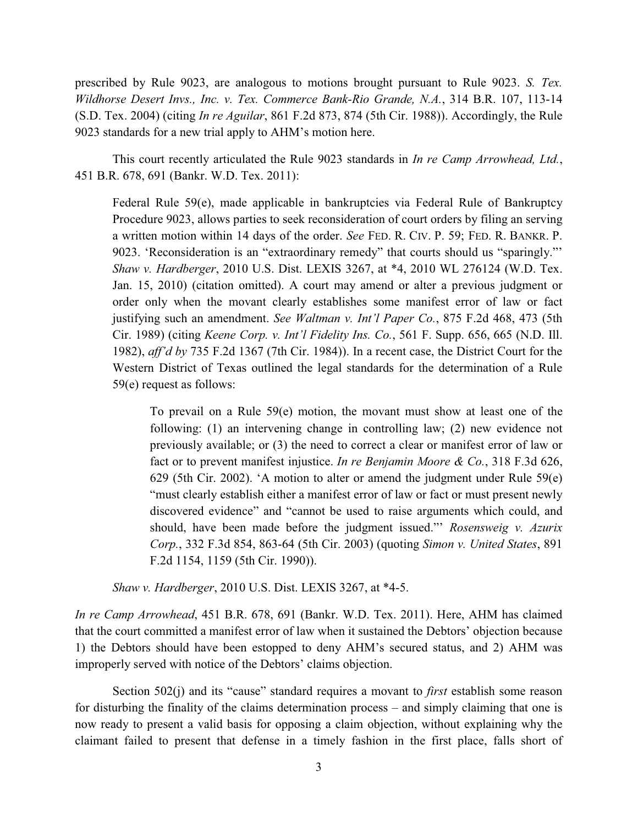prescribed by Rule 9023, are analogous to motions brought pursuant to Rule 9023. *S. Tex. Wildhorse Desert Invs., Inc. v. Tex. Commerce Bank-Rio Grande, N.A.*, 314 B.R. 107, 113-14 (S.D. Tex. 2004) (citing *In re Aguilar*, 861 F.2d 873, 874 (5th Cir. 1988)). Accordingly, the Rule 9023 standards for a new trial apply to AHM's motion here.

This court recently articulated the Rule 9023 standards in *In re Camp Arrowhead, Ltd.*, 451 B.R. 678, 691 (Bankr. W.D. Tex. 2011):

Federal Rule 59(e), made applicable in bankruptcies via Federal Rule of Bankruptcy Procedure 9023, allows parties to seek reconsideration of court orders by filing an serving a written motion within 14 days of the order. *See* FED. R. CIV. P. 59; FED. R. BANKR. P. 9023. 'Reconsideration is an "extraordinary remedy" that courts should us "sparingly."' *Shaw v. Hardberger*, 2010 U.S. Dist. LEXIS 3267, at \*4, 2010 WL 276124 (W.D. Tex. Jan. 15, 2010) (citation omitted). A court may amend or alter a previous judgment or order only when the movant clearly establishes some manifest error of law or fact justifying such an amendment. *See Waltman v. Int'l Paper Co.*, 875 F.2d 468, 473 (5th Cir. 1989) (citing *Keene Corp. v. Int'l Fidelity Ins. Co.*, 561 F. Supp. 656, 665 (N.D. Ill. 1982), *aff'd by* 735 F.2d 1367 (7th Cir. 1984)). In a recent case, the District Court for the Western District of Texas outlined the legal standards for the determination of a Rule 59(e) request as follows:

To prevail on a Rule 59(e) motion, the movant must show at least one of the following: (1) an intervening change in controlling law; (2) new evidence not previously available; or (3) the need to correct a clear or manifest error of law or fact or to prevent manifest injustice. *In re Benjamin Moore & Co.*, 318 F.3d 626, 629 (5th Cir. 2002). 'A motion to alter or amend the judgment under Rule 59(e) "must clearly establish either a manifest error of law or fact or must present newly discovered evidence" and "cannot be used to raise arguments which could, and should, have been made before the judgment issued."' *Rosensweig v. Azurix Corp.*, 332 F.3d 854, 863-64 (5th Cir. 2003) (quoting *Simon v. United States*, 891 F.2d 1154, 1159 (5th Cir. 1990)).

*Shaw v. Hardberger*, 2010 U.S. Dist. LEXIS 3267, at \*4-5.

*In re Camp Arrowhead*, 451 B.R. 678, 691 (Bankr. W.D. Tex. 2011). Here, AHM has claimed that the court committed a manifest error of law when it sustained the Debtors' objection because 1) the Debtors should have been estopped to deny AHM's secured status, and 2) AHM was improperly served with notice of the Debtors' claims objection.

Section 502(j) and its "cause" standard requires a movant to *first* establish some reason for disturbing the finality of the claims determination process – and simply claiming that one is now ready to present a valid basis for opposing a claim objection, without explaining why the claimant failed to present that defense in a timely fashion in the first place, falls short of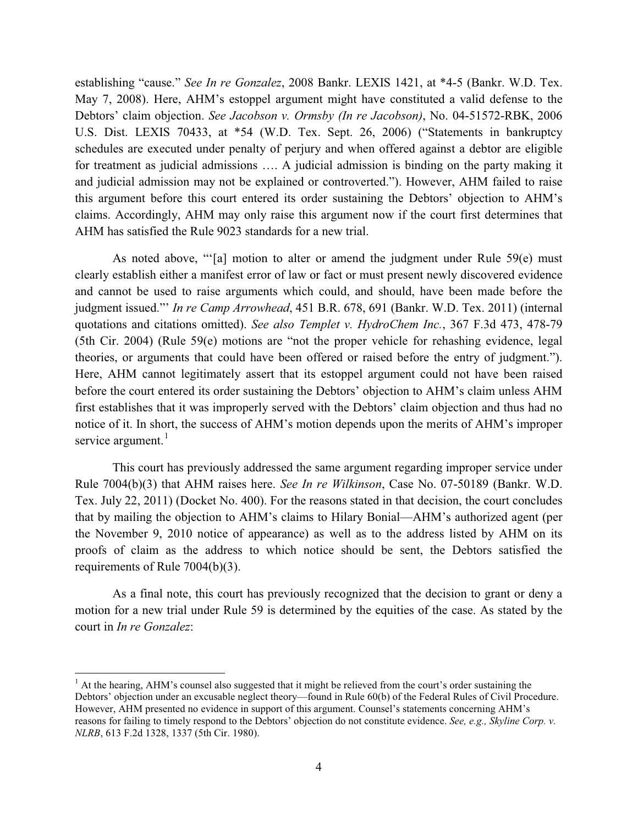establishing "cause." *See In re Gonzalez*, 2008 Bankr. LEXIS 1421, at \*4-5 (Bankr. W.D. Tex. May 7, 2008). Here, AHM's estoppel argument might have constituted a valid defense to the Debtors' claim objection. *See Jacobson v. Ormsby (In re Jacobson)*, No. 04-51572-RBK, 2006 U.S. Dist. LEXIS 70433, at \*54 (W.D. Tex. Sept. 26, 2006) ("Statements in bankruptcy schedules are executed under penalty of perjury and when offered against a debtor are eligible for treatment as judicial admissions …. A judicial admission is binding on the party making it and judicial admission may not be explained or controverted."). However, AHM failed to raise this argument before this court entered its order sustaining the Debtors' objection to AHM's claims. Accordingly, AHM may only raise this argument now if the court first determines that AHM has satisfied the Rule 9023 standards for a new trial.

As noted above, "'[a] motion to alter or amend the judgment under Rule 59(e) must clearly establish either a manifest error of law or fact or must present newly discovered evidence and cannot be used to raise arguments which could, and should, have been made before the judgment issued."' *In re Camp Arrowhead*, 451 B.R. 678, 691 (Bankr. W.D. Tex. 2011) (internal quotations and citations omitted). *See also Templet v. HydroChem Inc.*, 367 F.3d 473, 478-79 (5th Cir. 2004) (Rule 59(e) motions are "not the proper vehicle for rehashing evidence, legal theories, or arguments that could have been offered or raised before the entry of judgment."). Here, AHM cannot legitimately assert that its estoppel argument could not have been raised before the court entered its order sustaining the Debtors' objection to AHM's claim unless AHM first establishes that it was improperly served with the Debtors' claim objection and thus had no notice of it. In short, the success of AHM's motion depends upon the merits of AHM's improper service argument. $<sup>1</sup>$ </sup>

This court has previously addressed the same argument regarding improper service under Rule 7004(b)(3) that AHM raises here. *See In re Wilkinson*, Case No. 07-50189 (Bankr. W.D. Tex. July 22, 2011) (Docket No. 400). For the reasons stated in that decision, the court concludes that by mailing the objection to AHM's claims to Hilary Bonial—AHM's authorized agent (per the November 9, 2010 notice of appearance) as well as to the address listed by AHM on its proofs of claim as the address to which notice should be sent, the Debtors satisfied the requirements of Rule 7004(b)(3).

As a final note, this court has previously recognized that the decision to grant or deny a motion for a new trial under Rule 59 is determined by the equities of the case. As stated by the court in *In re Gonzalez*:

l

 $<sup>1</sup>$  At the hearing, AHM's counsel also suggested that it might be relieved from the court's order sustaining the</sup> Debtors' objection under an excusable neglect theory—found in Rule 60(b) of the Federal Rules of Civil Procedure. However, AHM presented no evidence in support of this argument. Counsel's statements concerning AHM's reasons for failing to timely respond to the Debtors' objection do not constitute evidence. *See, e.g., Skyline Corp. v. NLRB*, 613 F.2d 1328, 1337 (5th Cir. 1980).